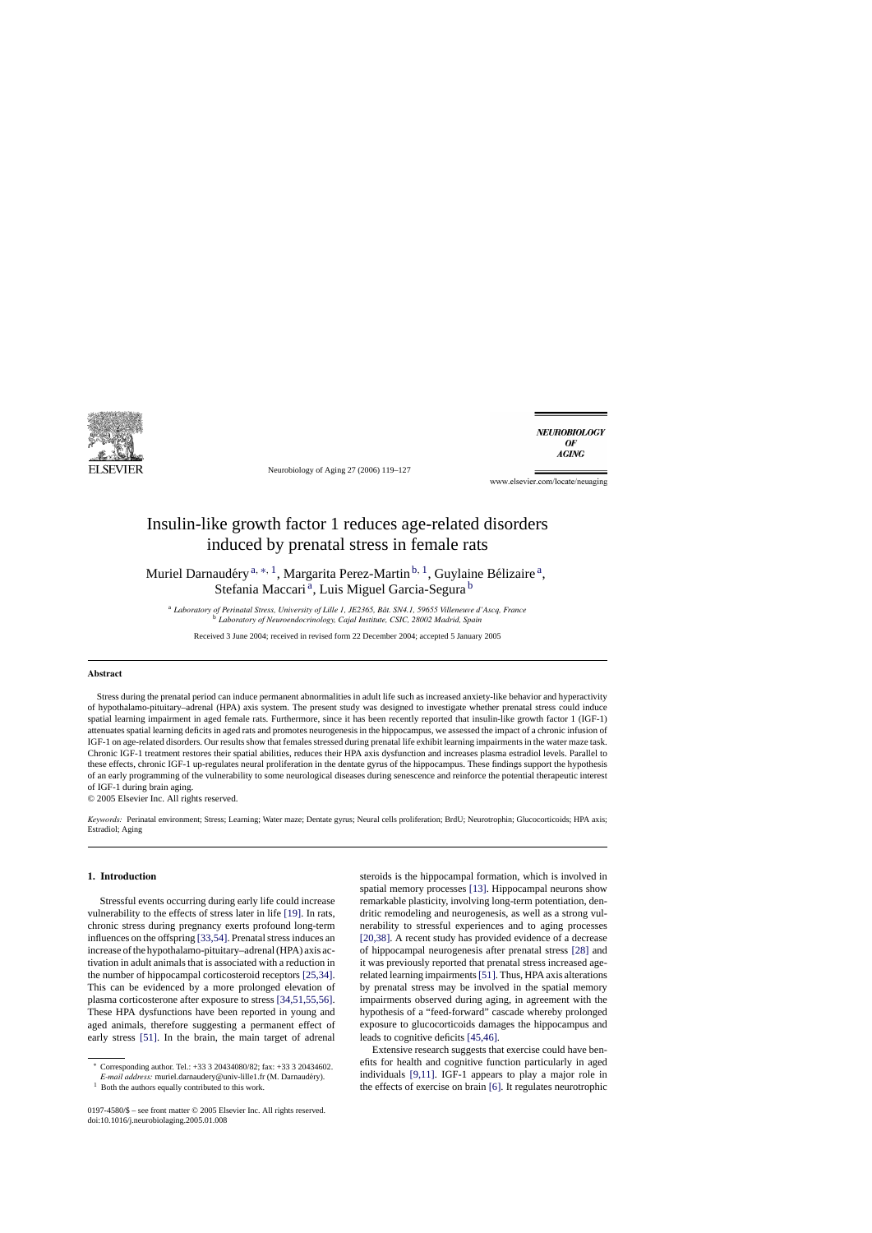

Neurobiology of Aging 27 (2006) 119–127

**NEUROBIOLOGY** OF **AGING** 

www.elsevier.com/locate/neuaging

# Insulin-like growth factor 1 reduces age-related disorders induced by prenatal stress in female rats

Muriel Darnaudéry<sup>a, \*, 1</sup>, Margarita Perez-Martin<sup>b, 1</sup>, Guylaine Bélizaire<sup>a</sup>, Stefania Maccari<sup>a</sup>, Luis Miguel Garcia-Segura<sup>b</sup>

<sup>a</sup> Laboratory of Perinatal Stress, University of Lille 1, JE2365, Bât. SN4.1, 59655 Villeneuve d'Ascq, France <sup>b</sup> *Laboratory of Neuroendocrinology, Cajal Institute, CSIC, 28002 Madrid, Spain*

Received 3 June 2004; received in revised form 22 December 2004; accepted 5 January 2005

#### **Abstract**

Stress during the prenatal period can induce permanent abnormalities in adult life such as increased anxiety-like behavior and hyperactivity of hypothalamo-pituitary–adrenal (HPA) axis system. The present study was designed to investigate whether prenatal stress could induce spatial learning impairment in aged female rats. Furthermore, since it has been recently reported that insulin-like growth factor 1 (IGF-1) attenuates spatial learning deficits in aged rats and promotes neurogenesis in the hippocampus, we assessed the impact of a chronic infusion of IGF-1 on age-related disorders. Our results show that females stressed during prenatal life exhibit learning impairments in the water maze task. Chronic IGF-1 treatment restores their spatial abilities, reduces their HPA axis dysfunction and increases plasma estradiol levels. Parallel to these effects, chronic IGF-1 up-regulates neural proliferation in the dentate gyrus of the hippocampus. These findings support the hypothesis of an early programming of the vulnerability to some neurological diseases during senescence and reinforce the potential therapeutic interest of IGF-1 during brain aging.

© 2005 Elsevier Inc. All rights reserved.

*Keywords:* Perinatal environment; Stress; Learning; Water maze; Dentate gyrus; Neural cells proliferation; BrdU; Neurotrophin; Glucocorticoids; HPA axis; Estradiol; Aging

## **1. Introduction**

Stressful events occurring during early life could increase vulnerability to the effects of stress later in life [\[19\]. I](#page--1-0)n rats, chronic stress during pregnancy exerts profound long-term influences on the offspring [\[33,54\]. P](#page--1-0)renatal stress induces an increase of the hypothalamo-pituitary–adrenal (HPA) axis activation in adult animals that is associated with a reduction in the number of hippocampal corticosteroid receptors [\[25,34\].](#page--1-0) This can be evidenced by a more prolonged elevation of plasma corticosterone after exposure to stress [\[34,51,55,56\].](#page--1-0) These HPA dysfunctions have been reported in young and aged animals, therefore suggesting a permanent effect of early stress [\[51\].](#page--1-0) In the brain, the main target of adrenal

<sup>1</sup> Both the authors equally contributed to this work.

steroids is the hippocampal formation, which is involved in spatial memory processes [\[13\].](#page--1-0) Hippocampal neurons show remarkable plasticity, involving long-term potentiation, dendritic remodeling and neurogenesis, as well as a strong vulnerability to stressful experiences and to aging processes [\[20,38\]. A](#page--1-0) recent study has provided evidence of a decrease of hippocampal neurogenesis after prenatal stress [\[28\]](#page--1-0) and it was previously reported that prenatal stress increased agerelated learning impairments[\[51\]. T](#page--1-0)hus, HPA axis alterations by prenatal stress may be involved in the spatial memory impairments observed during aging, in agreement with the hypothesis of a "feed-forward" cascade whereby prolonged exposure to glucocorticoids damages the hippocampus and leads to cognitive deficits [\[45,46\].](#page--1-0)

Extensive research suggests that exercise could have benefits for health and cognitive function particularly in aged individuals [\[9,11\].](#page--1-0) IGF-1 appears to play a major role in the effects of exercise on brain [\[6\]. I](#page--1-0)t regulates neurotrophic

<sup>∗</sup> Corresponding author. Tel.: +33 3 20434080/82; fax: +33 3 20434602.

*E-mail address:* muriel.darnaudery@univ-lille1.fr (M. Darnaudery). ´

<sup>0197-4580/\$ –</sup> see front matter © 2005 Elsevier Inc. All rights reserved. doi:10.1016/j.neurobiolaging.2005.01.008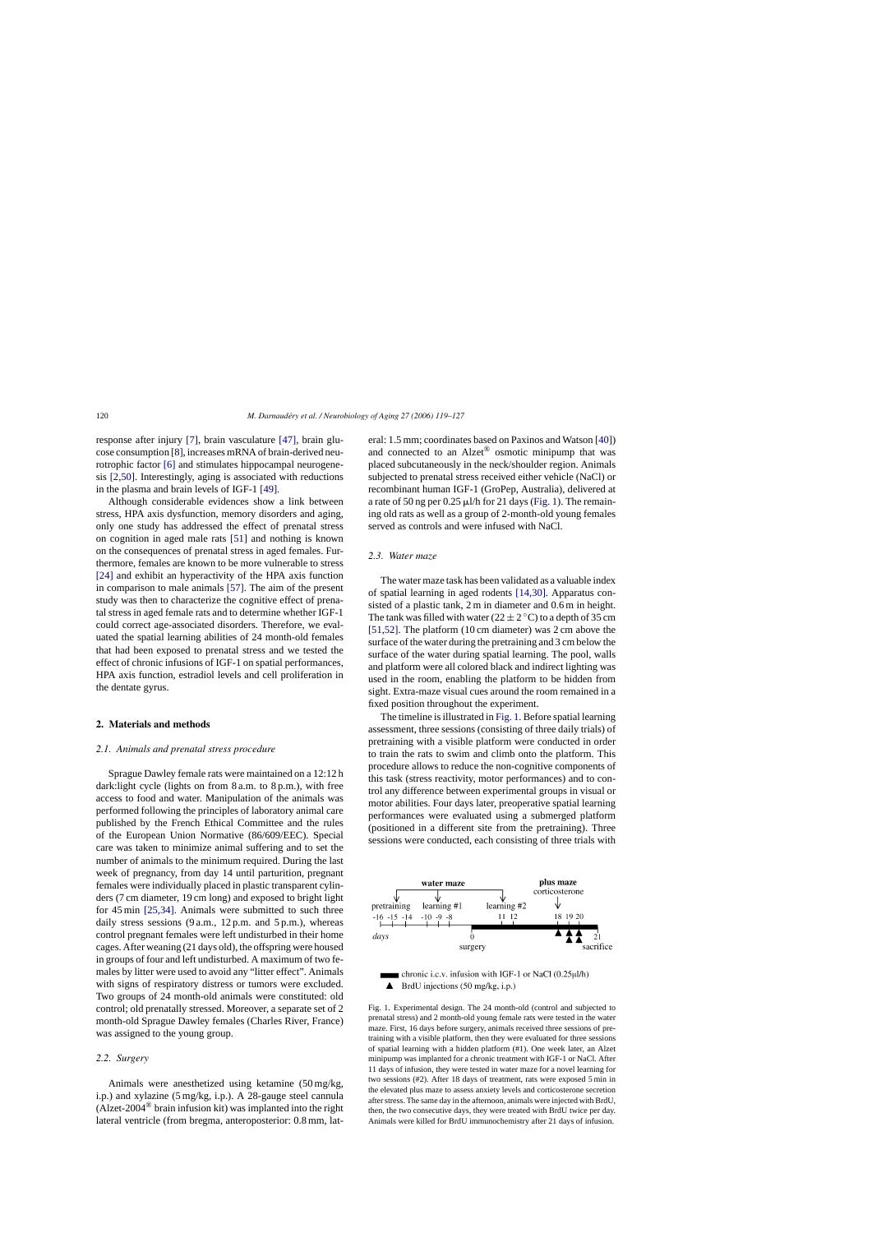response after injury [\[7\],](#page--1-0) brain vasculature [\[47\],](#page--1-0) brain glucose consumption [\[8\], i](#page--1-0)ncreases mRNA of brain-derived neurotrophic factor [\[6\]](#page--1-0) and stimulates hippocampal neurogenesis [\[2,50\].](#page--1-0) Interestingly, aging is associated with reductions in the plasma and brain levels of IGF-1 [\[49\].](#page--1-0)

Although considerable evidences show a link between stress, HPA axis dysfunction, memory disorders and aging, only one study has addressed the effect of prenatal stress on cognition in aged male rats [\[51\]](#page--1-0) and nothing is known on the consequences of prenatal stress in aged females. Furthermore, females are known to be more vulnerable to stress [\[24\]](#page--1-0) and exhibit an hyperactivity of the HPA axis function in comparison to male animals [\[57\]. T](#page--1-0)he aim of the present study was then to characterize the cognitive effect of prenatal stress in aged female rats and to determine whether IGF-1 could correct age-associated disorders. Therefore, we evaluated the spatial learning abilities of 24 month-old females that had been exposed to prenatal stress and we tested the effect of chronic infusions of IGF-1 on spatial performances, HPA axis function, estradiol levels and cell proliferation in the dentate gyrus.

### **2. Materials and methods**

#### *2.1. Animals and prenatal stress procedure*

Sprague Dawley female rats were maintained on a 12:12 h dark: light cycle (lights on from 8 a.m. to 8 p.m.), with free access to food and water. Manipulation of the animals was performed following the principles of laboratory animal care published by the French Ethical Committee and the rules of the European Union Normative (86/609/EEC). Special care was taken to minimize animal suffering and to set the number of animals to the minimum required. During the last week of pregnancy, from day 14 until parturition, pregnant females were individually placed in plastic transparent cylinders (7 cm diameter, 19 cm long) and exposed to bright light for 45 min [\[25,34\].](#page--1-0) Animals were submitted to such three daily stress sessions (9 a.m., 12 p.m. and 5 p.m.), whereas control pregnant females were left undisturbed in their home cages. After weaning (21 days old), the offspring were housed in groups of four and left undisturbed. A maximum of two females by litter were used to avoid any "litter effect". Animals with signs of respiratory distress or tumors were excluded. Two groups of 24 month-old animals were constituted: old control; old prenatally stressed. Moreover, a separate set of 2 month-old Sprague Dawley females (Charles River, France) was assigned to the young group.

## *2.2. Surgery*

Animals were anesthetized using ketamine (50 mg/kg, i.p.) and xylazine (5 mg/kg, i.p.). A 28-gauge steel cannula (Alzet-2004<sup>®</sup> brain infusion kit) was implanted into the right lateral ventricle (from bregma, anteroposterior: 0.8 mm, lateral: 1.5 mm; coordinates based on Paxinos and Watson [\[40\]\)](#page--1-0) and connected to an Alzet® osmotic minipump that was placed subcutaneously in the neck/shoulder region. Animals subjected to prenatal stress received either vehicle (NaCl) or recombinant human IGF-1 (GroPep, Australia), delivered at a rate of 50 ng per  $0.25 \mu l/h$  for 21 days (Fig. 1). The remaining old rats as well as a group of 2-month-old young females served as controls and were infused with NaCl.

### *2.3. Water maze*

The water maze task has been validated as a valuable index of spatial learning in aged rodents [\[14,30\].](#page--1-0) Apparatus consisted of a plastic tank, 2 m in diameter and 0.6 m in height. The tank was filled with water (22  $\pm$  2 °C) to a depth of 35 cm [\[51,52\].](#page--1-0) The platform (10 cm diameter) was 2 cm above the surface of the water during the pretraining and 3 cm below the surface of the water during spatial learning. The pool, walls and platform were all colored black and indirect lighting was used in the room, enabling the platform to be hidden from sight. Extra-maze visual cues around the room remained in a fixed position throughout the experiment.

The timeline is illustrated in Fig. 1. Before spatial learning assessment, three sessions (consisting of three daily trials) of pretraining with a visible platform were conducted in order to train the rats to swim and climb onto the platform. This procedure allows to reduce the non-cognitive components of this task (stress reactivity, motor performances) and to control any difference between experimental groups in visual or motor abilities. Four days later, preoperative spatial learning performances were evaluated using a submerged platform (positioned in a different site from the pretraining). Three sessions were conducted, each consisting of three trials with



 $\blacksquare$  chronic i.e.v. infusion with IGF-1 or NaCl (0.25µl/h)  $\blacktriangle$  BrdU injections (50 mg/kg, i.p.)

Fig. 1. Experimental design. The 24 month-old (control and subjected to prenatal stress) and 2 month-old young female rats were tested in the water maze. First, 16 days before surgery, animals received three sessions of pretraining with a visible platform, then they were evaluated for three sessions of spatial learning with a hidden platform (#1). One week later, an Alzet minipump was implanted for a chronic treatment with IGF-1 or NaCl. After 11 days of infusion, they were tested in water maze for a novel learning for two sessions (#2). After 18 days of treatment, rats were exposed 5 min in the elevated plus maze to assess anxiety levels and corticosterone secretion after stress. The same day in the afternoon, animals were injected with BrdU, then, the two consecutive days, they were treated with BrdU twice per day. Animals were killed for BrdU immunochemistry after 21 days of infusion.